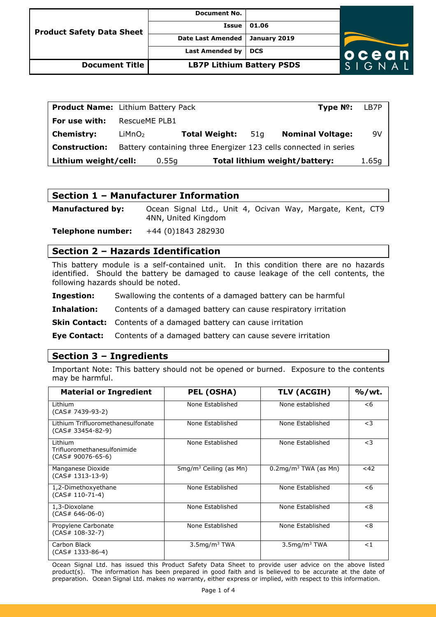| <b>Product Safety Data Sheet</b> | <b>Document No.</b>              |              |                  |
|----------------------------------|----------------------------------|--------------|------------------|
|                                  | Issue                            | 01.06        |                  |
|                                  | <b>Date Last Amended</b>         | January 2019 |                  |
|                                  | Last Amended by                  | <b>DCS</b>   | ocean            |
| Document Title                   | <b>LB7P Lithium Battery PSDS</b> |              | <b>I</b> G N A L |

| <b>Product Name:</b> Lithium Battery Pack |                    |       |                      |     | Type $N^o$ : LB7P                                                |       |
|-------------------------------------------|--------------------|-------|----------------------|-----|------------------------------------------------------------------|-------|
| For use with:                             | RescueME PLB1      |       |                      |     |                                                                  |       |
| <b>Chemistry:</b>                         | LiMnO <sub>2</sub> |       | <b>Total Weight:</b> | 51a | <b>Nominal Voltage:</b>                                          | 9V    |
| <b>Construction:</b>                      |                    |       |                      |     | Battery containing three Energizer 123 cells connected in series |       |
| Lithium weight/cell:                      |                    | 0.55q |                      |     | Total lithium weight/battery:                                    | 1.65q |

## **Section 1 – Manufacturer Information**

**Manufactured by:** Ocean Signal Ltd., Unit 4, Ocivan Way, Margate, Kent, CT9 4NN, United Kingdom

**Telephone number:** +44 (0)1843 282930

## **Section 2 – Hazards Identification**

This battery module is a self-contained unit. In this condition there are no hazards identified. Should the battery be damaged to cause leakage of the cell contents, the following hazards should be noted.

**Ingestion:** Swallowing the contents of a damaged battery can be harmful

**Inhalation:** Contents of a damaged battery can cause respiratory irritation

**Skin Contact:** Contents of a damaged battery can cause irritation

**Eye Contact:** Contents of a damaged battery can cause severe irritation

## **Section 3 – Ingredients**

Important Note: This battery should not be opened or burned. Exposure to the contents may be harmful.

| <b>Material or Ingredient</b>                               | <b>PEL (OSHA)</b>                     | <b>TLV (ACGIH)</b>                  | $%$ /wt. |
|-------------------------------------------------------------|---------------------------------------|-------------------------------------|----------|
| Lithium<br>(CAS# 7439-93-2)                                 | None Established                      | None established                    | $<$ 6    |
| Lithium Trifluoromethanesulfonate<br>$(CAS# 33454-82-9)$    | None Established                      | None Established                    | $<$ 3    |
| Lithium<br>Trifluoromethanesulfonimide<br>(CAS# 90076-65-6) | None Established                      | None Established                    | $<$ 3    |
| Manganese Dioxide<br>(CAS# 1313-13-9)                       | $5$ mg/m <sup>3</sup> Ceiling (as Mn) | $0.2$ mg/m <sup>3</sup> TWA (as Mn) | <42      |
| 1,2-Dimethoxyethane<br>$(CAS# 110-71-4)$                    | None Established                      | None Established                    | < 6      |
| 1,3-Dioxolane<br>(CAS# 646-06-0)                            | None Established                      | None Established                    | <8       |
| Propylene Carbonate<br>$(CAS# 108-32-7)$                    | None Established                      | None Established                    | < 8      |
| Carbon Black<br>(CAS# 1333-86-4)                            | $3.5$ mg/m $3$ TWA                    | $3.5$ mg/m $3$ TWA                  | $<$ 1    |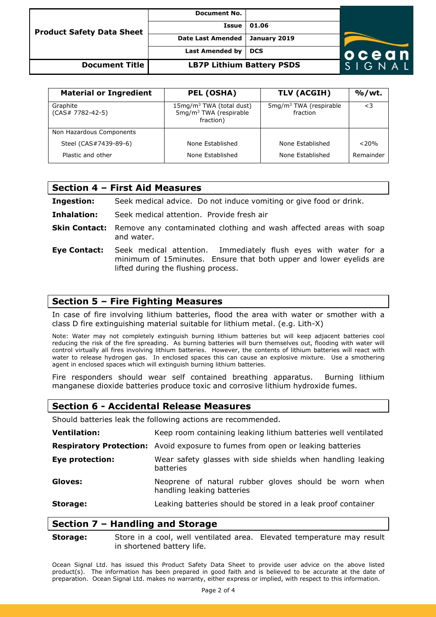| <b>Product Safety Data Sheet</b> | <b>Document No.</b>              |              |                            |
|----------------------------------|----------------------------------|--------------|----------------------------|
|                                  | Issue                            | 01.06        |                            |
|                                  | <b>Date Last Amended</b>         | January 2019 |                            |
|                                  | <b>Last Amended by</b>           | <b>DCS</b>   | ocean                      |
| <b>Document Title</b>            | <b>LB7P Lithium Battery PSDS</b> |              | $S$ L G $\overline{N}$ A L |

| <b>Material or Ingredient</b>  | <b>PEL (OSHA)</b>                                                                        | TLV (ACGIH)                                    | $%$ /wt.  |
|--------------------------------|------------------------------------------------------------------------------------------|------------------------------------------------|-----------|
| Graphite<br>$(CAS# 7782-42-5)$ | 15mg/m <sup>3</sup> TWA (total dust)<br>5mg/m <sup>3</sup> TWA (respirable)<br>fraction) | 5mg/m <sup>3</sup> TWA (respirable<br>fraction | $\leq$ 3  |
| Non Hazardous Components       |                                                                                          |                                                |           |
| Steel (CAS#7439-89-6)          | None Established                                                                         | None Established                               | < 20%     |
| Plastic and other              | None Established                                                                         | None Established                               | Remainder |

#### **Section 4 – First Aid Measures**

| Ingestion: | Seek medical advice. Do not induce vomiting or give food or drink. |  |  |
|------------|--------------------------------------------------------------------|--|--|
|            |                                                                    |  |  |

- **Inhalation:** Seek medical attention. Provide fresh air
- **Skin Contact:** Remove any contaminated clothing and wash affected areas with soap and water.
- **Eye Contact:** Seek medical attention. Immediately flush eyes with water for a minimum of 15minutes. Ensure that both upper and lower eyelids are lifted during the flushing process.

## **Section 5 – Fire Fighting Measures**

In case of fire involving lithium batteries, flood the area with water or smother with a class D fire extinguishing material suitable for lithium metal. (e.g. Lith-X)

Note: Water may not completely extinguish burning lithium batteries but will keep adjacent batteries cool reducing the risk of the fire spreading. As burning batteries will burn themselves out, flooding with water will control virtually all fires involving lithium batteries. However, the contents of lithium batteries will react with water to release hydrogen gas. In enclosed spaces this can cause an explosive mixture. Use a smothering agent in enclosed spaces which will extinguish burning lithium batteries.

Fire responders should wear self contained breathing apparatus. Burning lithium manganese dioxide batteries produce toxic and corrosive lithium hydroxide fumes.

#### **Section 6 - Accidental Release Measures**

Should batteries leak the following actions are recommended.

| <b>Ventilation:</b>    | Keep room containing leaking lithium batteries well ventilated                        |  |  |
|------------------------|---------------------------------------------------------------------------------------|--|--|
|                        | <b>Respiratory Protection:</b> Avoid exposure to fumes from open or leaking batteries |  |  |
| <b>Eye protection:</b> | Wear safety glasses with side shields when handling leaking<br>batteries              |  |  |
| Gloves:                | Neoprene of natural rubber gloves should be worn when<br>handling leaking batteries   |  |  |
| Storage:               | Leaking batteries should be stored in a leak proof container                          |  |  |

## **Section 7 – Handling and Storage**

**Storage:** Store in a cool, well ventilated area. Elevated temperature may result in shortened battery life.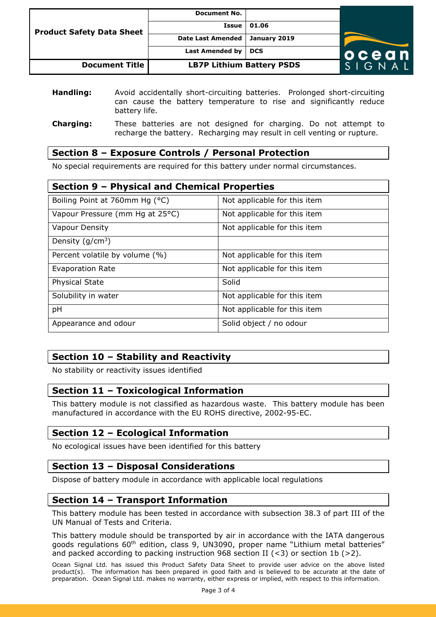| <b>Product Safety Data Sheet</b> | <b>Document No.</b>              |              |                        |
|----------------------------------|----------------------------------|--------------|------------------------|
|                                  | Issue                            | 01.06        |                        |
|                                  | <b>Date Last Amended</b>         | January 2019 |                        |
|                                  | Last Amended by                  | <b>DCS</b>   | ocean                  |
| <b>Document Title</b>            | <b>LB7P Lithium Battery PSDS</b> |              | $S \mid G \mid A \mid$ |

| Handling:        | Avoid accidentally short-circuiting batteries. Prolonged short-circuiting           |
|------------------|-------------------------------------------------------------------------------------|
|                  | can cause the battery temperature to rise and significantly reduce<br>battery life. |
| <b>Charging:</b> | These batteries are not designed for charging. Do not attempt to                    |

# recharge the battery. Recharging may result in cell venting or rupture.

# **Section 8 – Exposure Controls / Personal Protection**

No special requirements are required for this battery under normal circumstances.

| Section 9 - Physical and Chemical Properties |                              |  |  |
|----------------------------------------------|------------------------------|--|--|
| Boiling Point at 760mm Hg (°C)               | Not applicable for this item |  |  |
| Vapour Pressure (mm Hg at 25°C)              | Not applicable for this item |  |  |
| Vapour Density                               | Not applicable for this item |  |  |
| Density ( $g/cm^3$ )                         |                              |  |  |
| Percent volatile by volume (%)               | Not applicable for this item |  |  |
| Evaporation Rate                             | Not applicable for this item |  |  |
| <b>Physical State</b>                        | Solid                        |  |  |
| Solubility in water                          | Not applicable for this item |  |  |
| pH                                           | Not applicable for this item |  |  |
| Appearance and odour                         | Solid object / no odour      |  |  |

# **Section 10 – Stability and Reactivity**

No stability or reactivity issues identified

# **Section 11 – Toxicological Information**

This battery module is not classified as hazardous waste. This battery module has been manufactured in accordance with the EU ROHS directive, 2002-95-EC.

## **Section 12 – Ecological Information**

No ecological issues have been identified for this battery

# **Section 13 – Disposal Considerations**

Dispose of battery module in accordance with applicable local regulations

# **Section 14 – Transport Information**

This battery module has been tested in accordance with subsection 38.3 of part III of the UN Manual of Tests and Criteria.

This battery module should be transported by air in accordance with the IATA dangerous goods regulations 60<sup>th</sup> edition, class 9, UN3090, proper name "Lithium metal batteries" and packed according to packing instruction 968 section II  $(< 3$ ) or section 1b  $(> 2)$ .